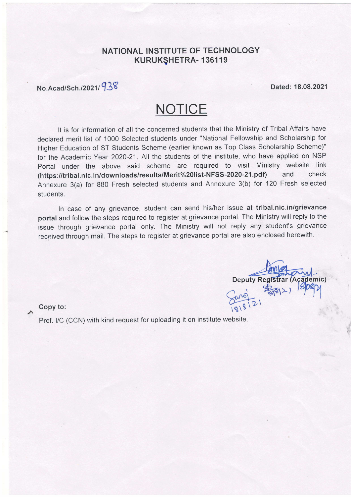# NATIONAL INSTITUTE OF TECHNOLOGY KURUKQHETRA- 136119

# No.Acad/Sch./2021/938 Dated: 18.08.2021

# **NOTICE**

It is for information of all the concerned students that the Ministry of Tribal Affairs have declared merit list of 1000 Selected students under "National Fellowship and Scholarship for Higher Education of ST Students Scheme (earlier known as Top Class Scholarship Scheme)" for the Academic Year 2O2O-21. All the students of the institute, who have applied on NSP Portal under the above said scheme are required to visit Ministry website link<br>(https://tribal.nic.in/downloads/results/Merit%20list-NFSS-2020-21.pdf) and check (https://tribal.nic.in/downloads/results/Merit%20list-NFSS-2020-21.pdf) and Annexure 3(a) for BB0 Fresh selected students and Annexure 3(b) for 120 Fresh selected students.

In case of any grievance, student can send his/her issue at tribal.nic.in/grievance portal and follow the steps required to register at grievance portal. The Ministry will reply to the issue through grievance portal only. The Ministry will not reply any student's grievance received through mail. The steps to register at grievance portal are also enclosed herewith.

**Deputy Registr** >) (Academic) Copy to:  $\frac{60}{181812}$ 

Prof. l/C (CCN) with kind request for uploading it on institute website.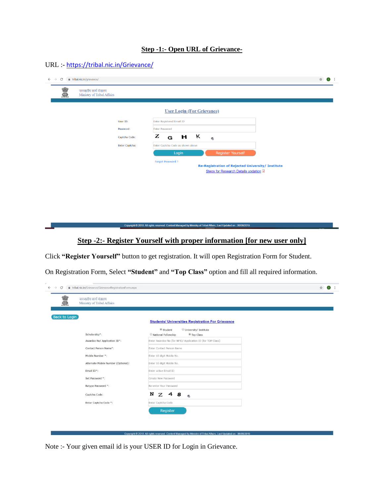#### **Step -1:- Open URL of Grievance-**

### URL :- <https://tribal.nic.in/Grievance/>

| जनजातीय कार्य मंत्रालय          |                |                                   |                                                                                                                   |  |  |
|---------------------------------|----------------|-----------------------------------|-------------------------------------------------------------------------------------------------------------------|--|--|
| S<br>Ministry of Tribal Affairs |                |                                   |                                                                                                                   |  |  |
|                                 |                |                                   |                                                                                                                   |  |  |
|                                 |                |                                   |                                                                                                                   |  |  |
|                                 |                |                                   | <b>User Login (For Grievance)</b>                                                                                 |  |  |
|                                 | User ID:       | Enter Registered Email ID         |                                                                                                                   |  |  |
|                                 | Password:      | <b>Enter Password</b>             |                                                                                                                   |  |  |
|                                 | Captcha Code:  | Z<br>G                            | $H$ K                                                                                                             |  |  |
|                                 |                |                                   | Ø,                                                                                                                |  |  |
|                                 | Enter Captcha: | Enter Captcha Code as shown above |                                                                                                                   |  |  |
|                                 |                | Login                             | Register Yourself                                                                                                 |  |  |
|                                 |                | Forgot Password ?                 |                                                                                                                   |  |  |
|                                 |                |                                   | <b>Re-Registration of Rejected University/ Institute</b>                                                          |  |  |
|                                 |                |                                   | <b>Steps for Research Details updation 4</b>                                                                      |  |  |
|                                 |                |                                   |                                                                                                                   |  |  |
|                                 |                |                                   |                                                                                                                   |  |  |
|                                 |                |                                   |                                                                                                                   |  |  |
|                                 |                |                                   |                                                                                                                   |  |  |
|                                 |                |                                   |                                                                                                                   |  |  |
|                                 |                |                                   |                                                                                                                   |  |  |
|                                 |                |                                   |                                                                                                                   |  |  |
|                                 |                |                                   | Copyright @ 2018. All rights reserved. Content Managed by Ministry of Tribal Affairs, Last Updated on: 06/06/2019 |  |  |

# **Step -2:- Register Yourself with proper information [for new user only]**

Click **"Register Yourself"** button to get registration. It will open Registration Form for Student.

On Registration Form, Select **"Student"** and **"Top Class"** option and fill all required information.

| जनजातीय कार्य मंत्रालय<br>S<br>Ministry of Tribal Affairs |                                                                                   |  |
|-----------------------------------------------------------|-----------------------------------------------------------------------------------|--|
| Back to Login                                             | <b>Students/ Universities Registration For Grievance</b>                          |  |
| Scholarship*:                                             | Student<br>University/ Institute<br><sup>●</sup> Top Class<br>National Fellowship |  |
| Awardee No/ Application ID*:                              | Enter Awardee No (for NFS)/ Application ID (for TOP Class)                        |  |
| Contact Person Name*:                                     | Enter Contact Person Name                                                         |  |
| Mobile Number *:                                          | Enter 10 digit Mobile No.                                                         |  |
| Alternate Mobile Number (Optional):                       | Enter 10 digit Mobile No.                                                         |  |
| Email ID*:                                                | Enter active Email ID                                                             |  |
| Set Password *:                                           | Create New Password                                                               |  |
| Retype Password *:                                        | Re-enter Your Password                                                            |  |
| Captcha Code:                                             | N<br>$Z$ 4<br>8<br>ø                                                              |  |
| Enter Captcha Code *:                                     | Enter Captcha Code                                                                |  |
|                                                           | Register                                                                          |  |
|                                                           |                                                                                   |  |

Note :- Your given email id is your USER ID for Login in Grievance.